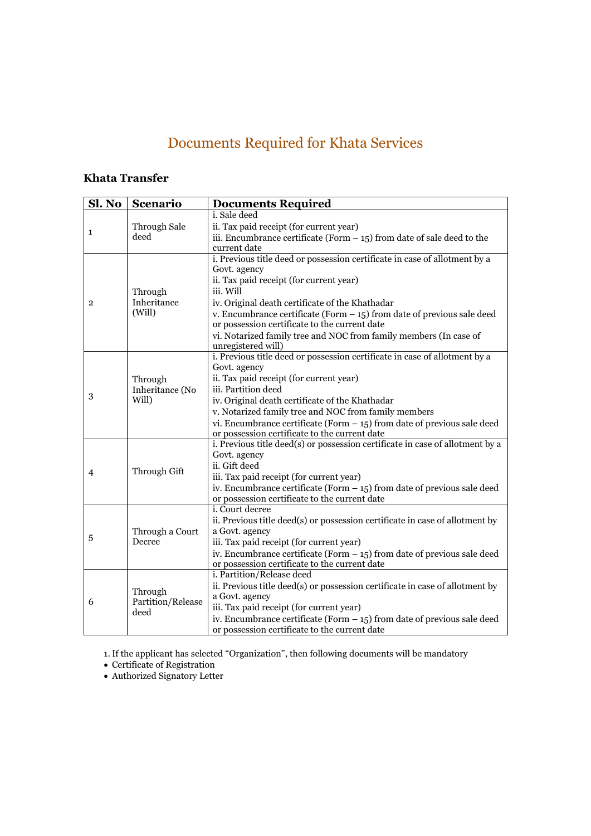# Documents Required for Khata Services

## **Khata Transfer**

| Sl. No         | <b>Scenario</b>                      | <b>Documents Required</b>                                                                                                  |
|----------------|--------------------------------------|----------------------------------------------------------------------------------------------------------------------------|
| 1              |                                      | i. Sale deed<br>ii. Tax paid receipt (for current year)                                                                    |
|                | Through Sale<br>deed                 | iii. Encumbrance certificate (Form $-15$ ) from date of sale deed to the                                                   |
|                |                                      | current date                                                                                                               |
|                |                                      | i. Previous title deed or possession certificate in case of allotment by a                                                 |
|                |                                      | Govt. agency                                                                                                               |
|                | Through<br>Inheritance<br>(Will)     | ii. Tax paid receipt (for current year)                                                                                    |
|                |                                      | iii. Will                                                                                                                  |
| $\overline{2}$ |                                      | iv. Original death certificate of the Khathadar                                                                            |
|                |                                      | v. Encumbrance certificate (Form $-15$ ) from date of previous sale deed                                                   |
|                |                                      | or possession certificate to the current date                                                                              |
|                |                                      | vi. Notarized family tree and NOC from family members (In case of                                                          |
|                |                                      | unregistered will)                                                                                                         |
|                |                                      | i. Previous title deed or possession certificate in case of allotment by a                                                 |
|                |                                      | Govt. agency                                                                                                               |
|                | Through                              | ii. Tax paid receipt (for current year)                                                                                    |
| 3              | Inheritance (No                      | iii. Partition deed                                                                                                        |
|                | Will)                                | iv. Original death certificate of the Khathadar                                                                            |
|                |                                      | v. Notarized family tree and NOC from family members                                                                       |
|                |                                      | vi. Encumbrance certificate (Form $-15$ ) from date of previous sale deed<br>or possession certificate to the current date |
|                |                                      | i. Previous title deed(s) or possession certificate in case of allotment by a                                              |
|                |                                      | Govt. agency                                                                                                               |
|                |                                      | ii. Gift deed                                                                                                              |
| 4              | Through Gift                         | iii. Tax paid receipt (for current year)                                                                                   |
|                |                                      | iv. Encumbrance certificate (Form $-$ 15) from date of previous sale deed                                                  |
|                |                                      | or possession certificate to the current date                                                                              |
|                | Through a Court<br>Decree            | i. Court decree                                                                                                            |
| 5              |                                      | ii. Previous title deed(s) or possession certificate in case of allotment by                                               |
|                |                                      | a Govt. agency                                                                                                             |
|                |                                      | iii. Tax paid receipt (for current year)                                                                                   |
|                |                                      | iv. Encumbrance certificate (Form $-15$ ) from date of previous sale deed                                                  |
|                |                                      | or possession certificate to the current date                                                                              |
| 6              | Through<br>Partition/Release<br>deed | i. Partition/Release deed                                                                                                  |
|                |                                      | ii. Previous title deed(s) or possession certificate in case of allotment by                                               |
|                |                                      | a Govt. agency                                                                                                             |
|                |                                      | iii. Tax paid receipt (for current year)                                                                                   |
|                |                                      | iv. Encumbrance certificate (Form $-15$ ) from date of previous sale deed                                                  |
|                |                                      | or possession certificate to the current date                                                                              |

1. If the applicant has selected "Organization", then following documents will be mandatory

 $\bullet\,$  Certificate of Registration

 $\bullet$  Authorized Signatory Letter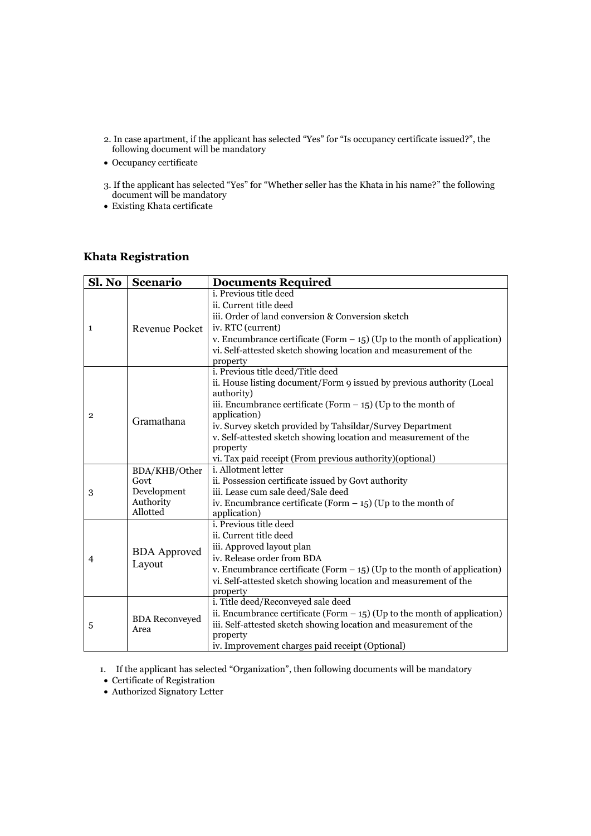- 2. In case apartment, if the applicant has selected "Yes" for "Is occupancy certificate issued?", the following document will be mandatory
- Occupancy certificate
- 3. If the applicant has selected "Yes" for "Whether seller has the Khata in his name?" the following document will be mandatory
- $\bullet$  Existing Khata certificate

#### **Khata Registration**

| Sl. No         | Scenario                      | <b>Documents Required</b>                                                      |
|----------------|-------------------------------|--------------------------------------------------------------------------------|
| 1              | Revenue Pocket                | i. Previous title deed                                                         |
|                |                               | ii. Current title deed                                                         |
|                |                               | iii. Order of land conversion & Conversion sketch                              |
|                |                               | iv. RTC (current)                                                              |
|                |                               | v. Encumbrance certificate (Form $-$ 15) (Up to the month of application)      |
|                |                               | vi. Self-attested sketch showing location and measurement of the               |
|                |                               | property                                                                       |
|                |                               | i. Previous title deed/Title deed                                              |
|                |                               | ii. House listing document/Form 9 issued by previous authority (Local          |
|                |                               | authority)                                                                     |
| $\overline{2}$ |                               | iii. Encumbrance certificate (Form $-$ 15) (Up to the month of<br>application) |
|                | Gramathana                    | iv. Survey sketch provided by Tahsildar/Survey Department                      |
|                |                               | v. Self-attested sketch showing location and measurement of the                |
|                |                               | property                                                                       |
|                |                               | vi. Tax paid receipt (From previous authority)(optional)                       |
|                | BDA/KHB/Other                 | i. Allotment letter                                                            |
|                | Govt                          | ii. Possession certificate issued by Govt authority                            |
| 3              | Development                   | iii. Lease cum sale deed/Sale deed                                             |
|                | Authority                     | iv. Encumbrance certificate (Form $-$ 15) (Up to the month of                  |
|                | Allotted                      | application)                                                                   |
|                | <b>BDA</b> Approved<br>Layout | i. Previous title deed                                                         |
|                |                               | ii. Current title deed                                                         |
|                |                               | iii. Approved layout plan<br>iv. Release order from BDA                        |
| 4              |                               |                                                                                |
|                |                               | v. Encumbrance certificate (Form $-$ 15) (Up to the month of application)      |
|                |                               | vi. Self-attested sketch showing location and measurement of the<br>property   |
| 5              | <b>BDA</b> Reconveyed<br>Area | i. Title deed/Reconveyed sale deed                                             |
|                |                               | ii. Encumbrance certificate (Form $-$ 15) (Up to the month of application)     |
|                |                               | iii. Self-attested sketch showing location and measurement of the              |
|                |                               | property                                                                       |
|                |                               | iv. Improvement charges paid receipt (Optional)                                |

1. If the applicant has selected "Organization", then following documents will be mandatory

• Certificate of Registration

• Authorized Signatory Letter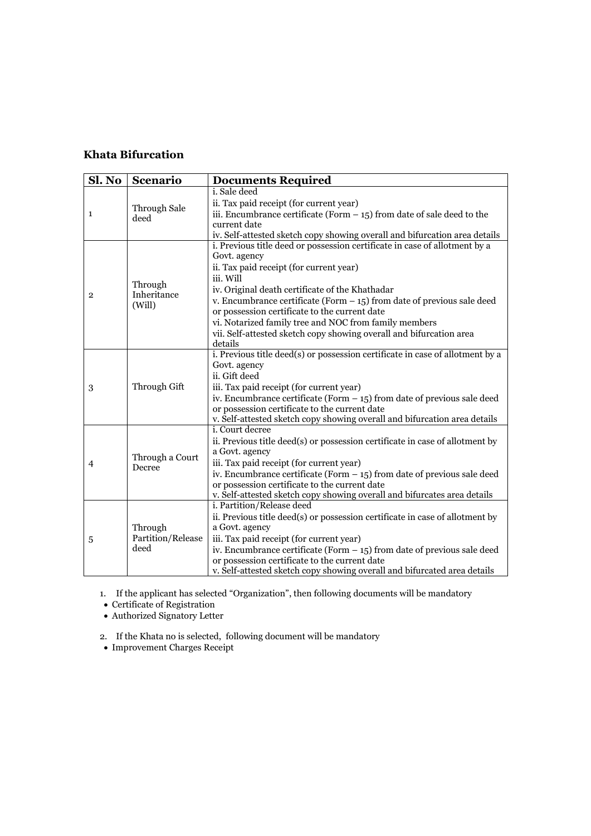## **Khata Bifurcation**

| Sl. No         | Scenario                             | <b>Documents Required</b>                                                     |
|----------------|--------------------------------------|-------------------------------------------------------------------------------|
|                |                                      | i. Sale deed                                                                  |
|                | Through Sale                         | ii. Tax paid receipt (for current year)                                       |
| 1              | deed                                 | iii. Encumbrance certificate (Form $-15$ ) from date of sale deed to the      |
|                |                                      | current date                                                                  |
|                |                                      | iv. Self-attested sketch copy showing overall and bifurcation area details    |
|                | Through<br>Inheritance<br>(Will)     | i. Previous title deed or possession certificate in case of allotment by a    |
|                |                                      | Govt. agency                                                                  |
|                |                                      | ii. Tax paid receipt (for current year)                                       |
|                |                                      | iii. Will                                                                     |
| $\overline{2}$ |                                      | iv. Original death certificate of the Khathadar                               |
|                |                                      | v. Encumbrance certificate (Form $-15$ ) from date of previous sale deed      |
|                |                                      | or possession certificate to the current date                                 |
|                |                                      | vi. Notarized family tree and NOC from family members                         |
|                |                                      | vii. Self-attested sketch copy showing overall and bifurcation area           |
|                |                                      | details                                                                       |
|                |                                      | i. Previous title deed(s) or possession certificate in case of allotment by a |
|                | Through Gift                         | Govt. agency                                                                  |
|                |                                      | ii. Gift deed                                                                 |
| 3              |                                      | iii. Tax paid receipt (for current year)                                      |
|                |                                      | iv. Encumbrance certificate (Form $-15$ ) from date of previous sale deed     |
|                |                                      | or possession certificate to the current date                                 |
|                |                                      | v. Self-attested sketch copy showing overall and bifurcation area details     |
|                | Through a Court<br>Decree            | <i>i</i> . Court decree                                                       |
|                |                                      | ii. Previous title deed(s) or possession certificate in case of allotment by  |
|                |                                      | a Govt. agency                                                                |
| $\overline{4}$ |                                      | iii. Tax paid receipt (for current year)                                      |
|                |                                      | iv. Encumbrance certificate (Form $-15$ ) from date of previous sale deed     |
|                |                                      | or possession certificate to the current date                                 |
|                |                                      | v. Self-attested sketch copy showing overall and bifurcates area details      |
|                | Through<br>Partition/Release<br>deed | i. Partition/Release deed                                                     |
| 5              |                                      | ii. Previous title deed(s) or possession certificate in case of allotment by  |
|                |                                      | a Govt. agency                                                                |
|                |                                      | iii. Tax paid receipt (for current year)                                      |
|                |                                      | iv. Encumbrance certificate (Form $-15$ ) from date of previous sale deed     |
|                |                                      | or possession certificate to the current date                                 |
|                |                                      | v. Self-attested sketch copy showing overall and bifurcated area details      |

1. If the applicant has selected "Organization", then following documents will be mandatory

• Certificate of Registration

• Authorized Signatory Letter

2. If the Khata no is selected, following document will be mandatory

• Improvement Charges Receipt